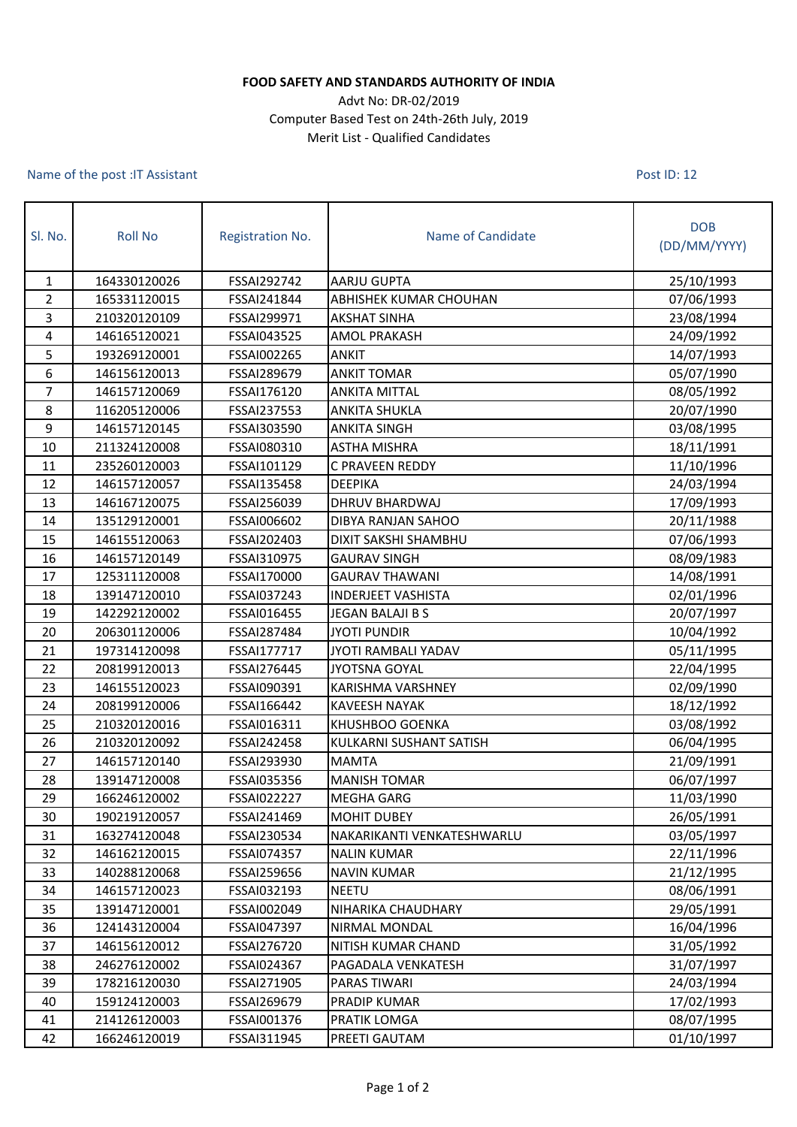## **FOOD SAFETY AND STANDARDS AUTHORITY OF INDIA**

## Advt No: DR-02/2019 Computer Based Test on 24th-26th July, 2019 Merit List - Qualified Candidates

## Name of the post :IT Assistant

Post ID: 12

| SI. No. | <b>Roll No</b> | Registration No.   | Name of Candidate          | <b>DOB</b><br>(DD/MM/YYYY) |
|---------|----------------|--------------------|----------------------------|----------------------------|
| 1       | 164330120026   | FSSAI292742        | <b>AARJU GUPTA</b>         | 25/10/1993                 |
| 2       | 165331120015   | FSSAI241844        | ABHISHEK KUMAR CHOUHAN     | 07/06/1993                 |
| 3       | 210320120109   | FSSAI299971        | <b>AKSHAT SINHA</b>        | 23/08/1994                 |
| 4       | 146165120021   | FSSAI043525        | <b>AMOL PRAKASH</b>        | 24/09/1992                 |
| 5       | 193269120001   | FSSAI002265        | <b>ANKIT</b>               | 14/07/1993                 |
| 6       | 146156120013   | FSSAI289679        | <b>ANKIT TOMAR</b>         | 05/07/1990                 |
| 7       | 146157120069   | FSSAI176120        | <b>ANKITA MITTAL</b>       | 08/05/1992                 |
| 8       | 116205120006   | FSSAI237553        | <b>ANKITA SHUKLA</b>       | 20/07/1990                 |
| 9       | 146157120145   | FSSAI303590        | <b>ANKITA SINGH</b>        | 03/08/1995                 |
| 10      | 211324120008   | FSSAI080310        | <b>ASTHA MISHRA</b>        | 18/11/1991                 |
| 11      | 235260120003   | FSSAI101129        | C PRAVEEN REDDY            | 11/10/1996                 |
| 12      | 146157120057   | FSSAI135458        | <b>DEEPIKA</b>             | 24/03/1994                 |
| 13      | 146167120075   | FSSAI256039        | <b>DHRUV BHARDWAJ</b>      | 17/09/1993                 |
| 14      | 135129120001   | FSSAI006602        | DIBYA RANJAN SAHOO         | 20/11/1988                 |
| 15      | 146155120063   | FSSAI202403        | DIXIT SAKSHI SHAMBHU       | 07/06/1993                 |
| 16      | 146157120149   | FSSAI310975        | <b>GAURAV SINGH</b>        | 08/09/1983                 |
| 17      | 125311120008   | FSSAI170000        | <b>GAURAV THAWANI</b>      | 14/08/1991                 |
| 18      | 139147120010   | FSSAI037243        | <b>INDERJEET VASHISTA</b>  | 02/01/1996                 |
| 19      | 142292120002   | FSSAI016455        | JEGAN BALAJI B S           | 20/07/1997                 |
| 20      | 206301120006   | FSSAI287484        | <b>JYOTI PUNDIR</b>        | 10/04/1992                 |
| 21      | 197314120098   | FSSAI177717        | JYOTI RAMBALI YADAV        | 05/11/1995                 |
| 22      | 208199120013   | FSSAI276445        | <b>JYOTSNA GOYAL</b>       | 22/04/1995                 |
| 23      | 146155120023   | FSSAI090391        | KARISHMA VARSHNEY          | 02/09/1990                 |
| 24      | 208199120006   | FSSAI166442        | <b>KAVEESH NAYAK</b>       | 18/12/1992                 |
| 25      | 210320120016   | FSSAI016311        | KHUSHBOO GOENKA            | 03/08/1992                 |
| 26      | 210320120092   | FSSAI242458        | KULKARNI SUSHANT SATISH    | 06/04/1995                 |
| 27      | 146157120140   | FSSAI293930        | <b>MAMTA</b>               | 21/09/1991                 |
| 28      | 139147120008   | FSSAI035356        | <b>MANISH TOMAR</b>        | 06/07/1997                 |
| 29      | 166246120002   | <b>FSSAI022227</b> | <b>MEGHA GARG</b>          | 11/03/1990                 |
| 30      | 190219120057   | FSSAI241469        | <b>MOHIT DUBEY</b>         | 26/05/1991                 |
| 31      | 163274120048   | FSSAI230534        | NAKARIKANTI VENKATESHWARLU | 03/05/1997                 |
| 32      | 146162120015   | FSSAI074357        | <b>NALIN KUMAR</b>         | 22/11/1996                 |
| 33      | 140288120068   | FSSAI259656        | <b>NAVIN KUMAR</b>         | 21/12/1995                 |
| 34      | 146157120023   | FSSAI032193        | <b>NEETU</b>               | 08/06/1991                 |
| 35      | 139147120001   | FSSAI002049        | NIHARIKA CHAUDHARY         | 29/05/1991                 |
| 36      | 124143120004   | FSSAI047397        | NIRMAL MONDAL              | 16/04/1996                 |
| 37      | 146156120012   | FSSAI276720        | NITISH KUMAR CHAND         | 31/05/1992                 |
| 38      | 246276120002   | FSSAI024367        | PAGADALA VENKATESH         | 31/07/1997                 |
| 39      | 178216120030   | FSSAI271905        | PARAS TIWARI               | 24/03/1994                 |
| 40      | 159124120003   | FSSAI269679        | PRADIP KUMAR               | 17/02/1993                 |
| 41      | 214126120003   | FSSAI001376        | PRATIK LOMGA               | 08/07/1995                 |
| 42      | 166246120019   | FSSAI311945        | PREETI GAUTAM              | 01/10/1997                 |